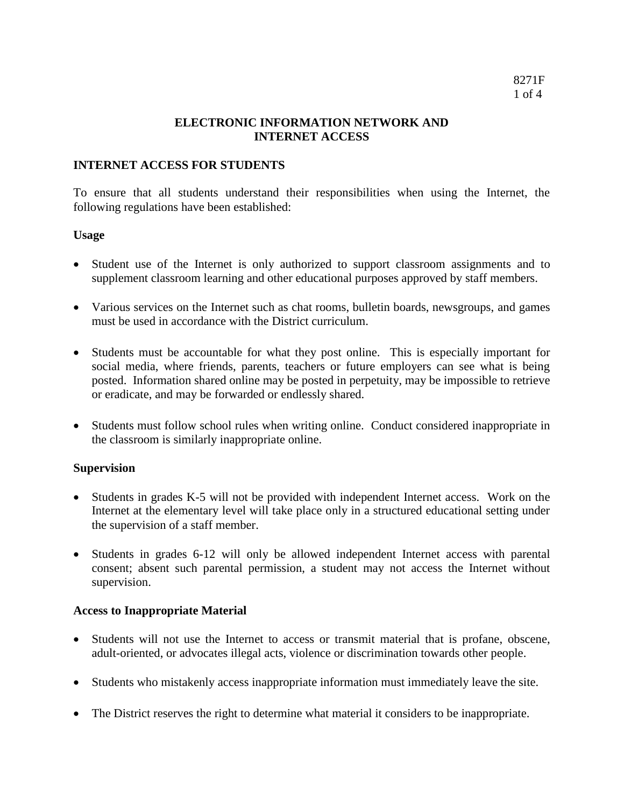# **ELECTRONIC INFORMATION NETWORK AND INTERNET ACCESS**

# **INTERNET ACCESS FOR STUDENTS**

To ensure that all students understand their responsibilities when using the Internet, the following regulations have been established:

# **Usage**

- Student use of the Internet is only authorized to support classroom assignments and to supplement classroom learning and other educational purposes approved by staff members.
- Various services on the Internet such as chat rooms, bulletin boards, newsgroups, and games must be used in accordance with the District curriculum.
- Students must be accountable for what they post online. This is especially important for social media, where friends, parents, teachers or future employers can see what is being posted. Information shared online may be posted in perpetuity, may be impossible to retrieve or eradicate, and may be forwarded or endlessly shared.
- Students must follow school rules when writing online. Conduct considered inappropriate in the classroom is similarly inappropriate online.

# **Supervision**

- Students in grades K-5 will not be provided with independent Internet access. Work on the Internet at the elementary level will take place only in a structured educational setting under the supervision of a staff member.
- Students in grades 6-12 will only be allowed independent Internet access with parental consent; absent such parental permission, a student may not access the Internet without supervision.

# **Access to Inappropriate Material**

- Students will not use the Internet to access or transmit material that is profane, obscene, adult-oriented, or advocates illegal acts, violence or discrimination towards other people.
- Students who mistakenly access inappropriate information must immediately leave the site.
- The District reserves the right to determine what material it considers to be inappropriate.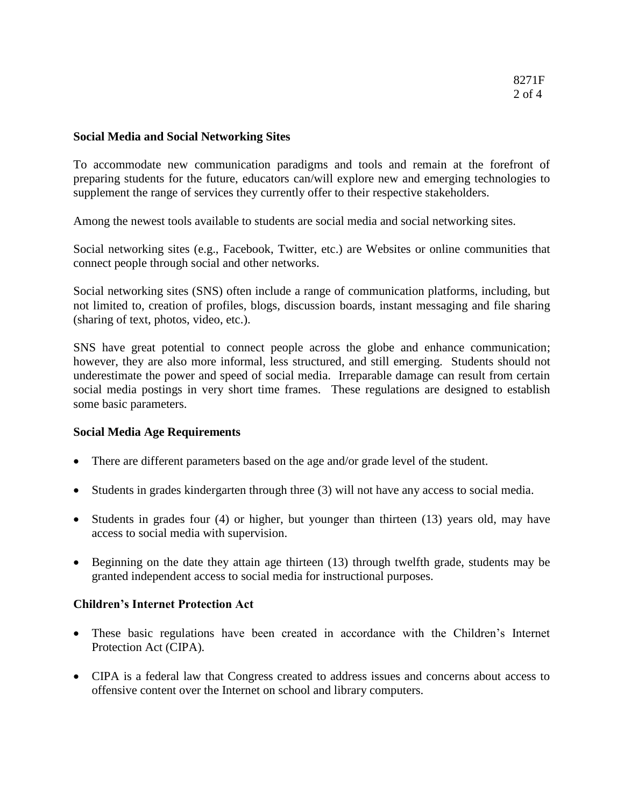### **Social Media and Social Networking Sites**

To accommodate new communication paradigms and tools and remain at the forefront of preparing students for the future, educators can/will explore new and emerging technologies to supplement the range of services they currently offer to their respective stakeholders.

Among the newest tools available to students are social media and social networking sites.

Social networking sites (e.g., Facebook, Twitter, etc.) are Websites or online communities that connect people through social and other networks.

Social networking sites (SNS) often include a range of communication platforms, including, but not limited to, creation of profiles, blogs, discussion boards, instant messaging and file sharing (sharing of text, photos, video, etc.).

SNS have great potential to connect people across the globe and enhance communication; however, they are also more informal, less structured, and still emerging. Students should not underestimate the power and speed of social media. Irreparable damage can result from certain social media postings in very short time frames. These regulations are designed to establish some basic parameters.

#### **Social Media Age Requirements**

- There are different parameters based on the age and/or grade level of the student.
- Students in grades kindergarten through three (3) will not have any access to social media.
- Students in grades four (4) or higher, but younger than thirteen (13) years old, may have access to social media with supervision.
- Beginning on the date they attain age thirteen (13) through twelfth grade, students may be granted independent access to social media for instructional purposes.

#### **Children's Internet Protection Act**

- These basic regulations have been created in accordance with the Children's Internet Protection Act (CIPA).
- CIPA is a federal law that Congress created to address issues and concerns about access to offensive content over the Internet on school and library computers.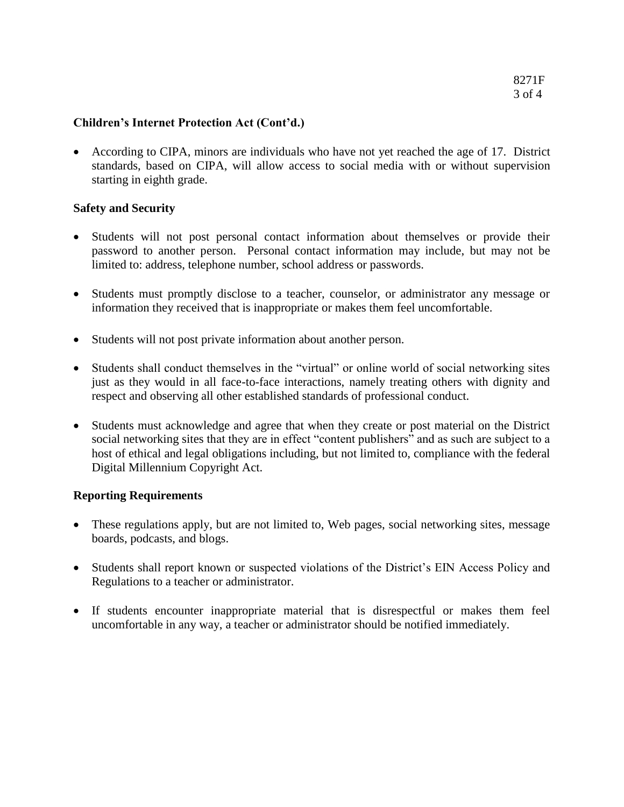# **Children's Internet Protection Act (Cont'd.)**

 According to CIPA, minors are individuals who have not yet reached the age of 17. District standards, based on CIPA, will allow access to social media with or without supervision starting in eighth grade.

# **Safety and Security**

- Students will not post personal contact information about themselves or provide their password to another person. Personal contact information may include, but may not be limited to: address, telephone number, school address or passwords.
- Students must promptly disclose to a teacher, counselor, or administrator any message or information they received that is inappropriate or makes them feel uncomfortable.
- Students will not post private information about another person.
- Students shall conduct themselves in the "virtual" or online world of social networking sites just as they would in all face-to-face interactions, namely treating others with dignity and respect and observing all other established standards of professional conduct.
- Students must acknowledge and agree that when they create or post material on the District social networking sites that they are in effect "content publishers" and as such are subject to a host of ethical and legal obligations including, but not limited to, compliance with the federal Digital Millennium Copyright Act.

# **Reporting Requirements**

- These regulations apply, but are not limited to, Web pages, social networking sites, message boards, podcasts, and blogs.
- Students shall report known or suspected violations of the District's EIN Access Policy and Regulations to a teacher or administrator.
- If students encounter inappropriate material that is disrespectful or makes them feel uncomfortable in any way, a teacher or administrator should be notified immediately.